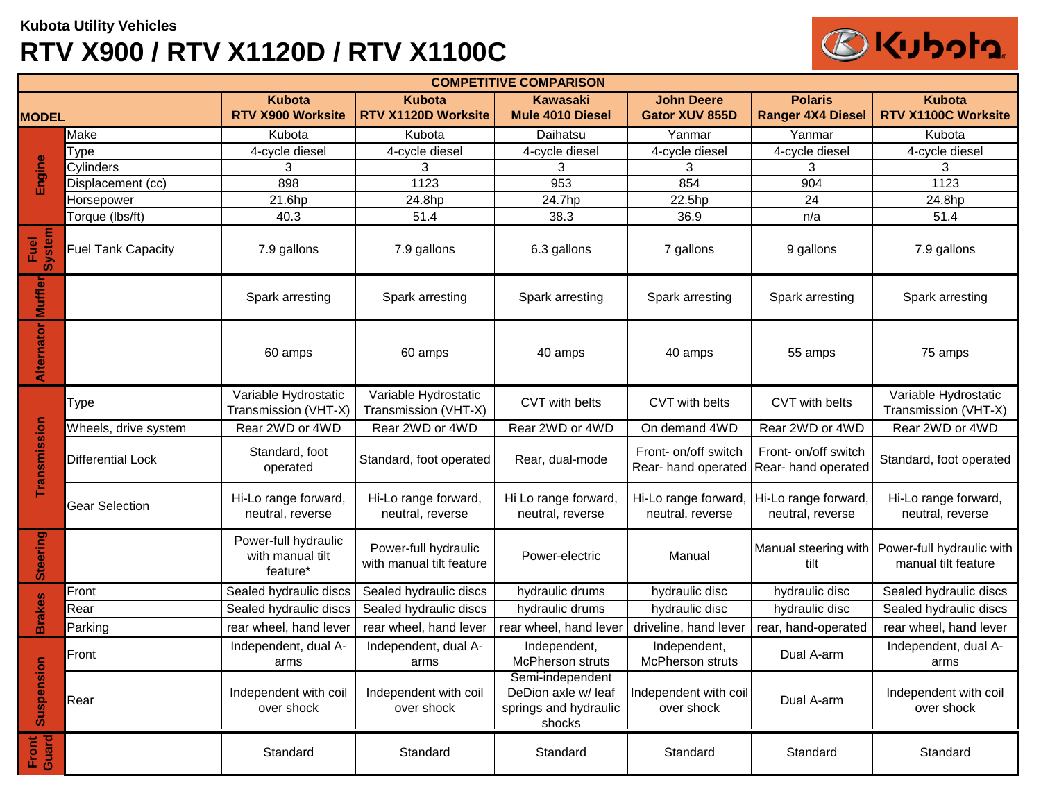## **Kubota Utility Vehicles RTV X900 / RTV X1120D / RTV X1100C**



| <b>COMPETITIVE COMPARISON</b> |                           |                                                      |                                                  |                                                                            |                                             |                                             |                                                  |  |
|-------------------------------|---------------------------|------------------------------------------------------|--------------------------------------------------|----------------------------------------------------------------------------|---------------------------------------------|---------------------------------------------|--------------------------------------------------|--|
| <b>MODEL</b>                  |                           | <b>Kubota</b><br>RTV X900 Worksite                   | <b>Kubota</b><br>RTV X1120D Worksite             | <b>Kawasaki</b><br>Mule 4010 Diesel                                        | <b>John Deere</b><br><b>Gator XUV 855D</b>  | <b>Polaris</b><br><b>Ranger 4X4 Diesel</b>  | <b>Kubota</b><br>RTV X1100C Worksite             |  |
| Engine                        | Make                      | Kubota                                               | Kubota                                           | Daihatsu                                                                   | Yanmar                                      | Yanmar                                      | Kubota                                           |  |
|                               | Type                      | 4-cycle diesel                                       | 4-cycle diesel                                   | 4-cycle diesel                                                             | 4-cycle diesel                              | 4-cycle diesel                              | 4-cycle diesel                                   |  |
|                               | Cylinders                 | 3                                                    | 3                                                | 3                                                                          | 3                                           | 3                                           | 3                                                |  |
|                               | Displacement (cc)         | 898                                                  | 1123                                             | 953                                                                        | 854                                         | 904                                         | 1123                                             |  |
|                               | Horsepower                | 21.6hp                                               | 24.8hp                                           | 24.7hp                                                                     | 22.5hp                                      | 24                                          | 24.8hp                                           |  |
|                               | Torque (lbs/ft)           | 40.3                                                 | 51.4                                             | 38.3                                                                       | 36.9                                        | n/a                                         | 51.4                                             |  |
| <b>System</b><br>Fuel         | <b>Fuel Tank Capacity</b> | 7.9 gallons                                          | 7.9 gallons                                      | 6.3 gallons                                                                | 7 gallons                                   | 9 gallons                                   | 7.9 gallons                                      |  |
| Muffler                       |                           | Spark arresting                                      | Spark arresting                                  | Spark arresting                                                            | Spark arresting                             | Spark arresting                             | Spark arresting                                  |  |
| Alternator                    |                           | 60 amps                                              | 60 amps                                          | 40 amps                                                                    | 40 amps                                     | 55 amps                                     | 75 amps                                          |  |
|                               | Type                      | Variable Hydrostatic<br>Transmission (VHT-X)         | Variable Hydrostatic<br>Transmission (VHT-X)     | CVT with belts                                                             | CVT with belts                              | CVT with belts                              | Variable Hydrostatic<br>Transmission (VHT-X)     |  |
|                               | Wheels, drive system      | Rear 2WD or 4WD                                      | Rear 2WD or 4WD                                  | Rear 2WD or 4WD                                                            | On demand 4WD                               | Rear 2WD or 4WD                             | Rear 2WD or 4WD                                  |  |
| Transmission                  | Differential Lock         | Standard, foot<br>operated                           | Standard, foot operated                          | Rear, dual-mode                                                            | Front- on/off switch<br>Rear- hand operated | Front- on/off switch<br>Rear- hand operated | Standard, foot operated                          |  |
|                               | Gear Selection            | Hi-Lo range forward,<br>neutral, reverse             | Hi-Lo range forward,<br>neutral, reverse         | Hi Lo range forward,<br>neutral, reverse                                   | Hi-Lo range forward<br>neutral, reverse     | Hi-Lo range forward,<br>neutral, reverse    | Hi-Lo range forward,<br>neutral, reverse         |  |
| Steering                      |                           | Power-full hydraulic<br>with manual tilt<br>feature* | Power-full hydraulic<br>with manual tilt feature | Power-electric                                                             | Manual                                      | Manual steering with<br>tilt                | Power-full hydraulic with<br>manual tilt feature |  |
| <b>Brakes</b>                 | Front                     | Sealed hydraulic discs                               | Sealed hydraulic discs                           | hydraulic drums                                                            | hydraulic disc                              | hydraulic disc                              | Sealed hydraulic discs                           |  |
|                               | Rear                      | Sealed hydraulic discs                               | Sealed hydraulic discs                           | hydraulic drums                                                            | hydraulic disc                              | hydraulic disc                              | Sealed hydraulic discs                           |  |
|                               | Parking                   | rear wheel, hand lever                               | rear wheel, hand lever                           | rear wheel, hand lever                                                     | driveline, hand lever                       | rear, hand-operated                         | rear wheel, hand lever                           |  |
| <b>Suspensic</b>              | Front                     | Independent, dual A-<br>arms                         | Independent, dual A-<br>arms                     | Independent,<br><b>McPherson struts</b>                                    | Independent,<br><b>McPherson struts</b>     | Dual A-arm                                  | Independent, dual A-<br>arms                     |  |
|                               | Rear                      | Independent with coil<br>over shock                  | Independent with coil<br>over shock              | Semi-independent<br>DeDion axle w/ leaf<br>springs and hydraulic<br>shocks | Independent with coil<br>over shock         | Dual A-arm                                  | Independent with coil<br>over shock              |  |
| Front<br>Guard                |                           | Standard                                             | Standard                                         | Standard                                                                   | Standard                                    | Standard                                    | Standard                                         |  |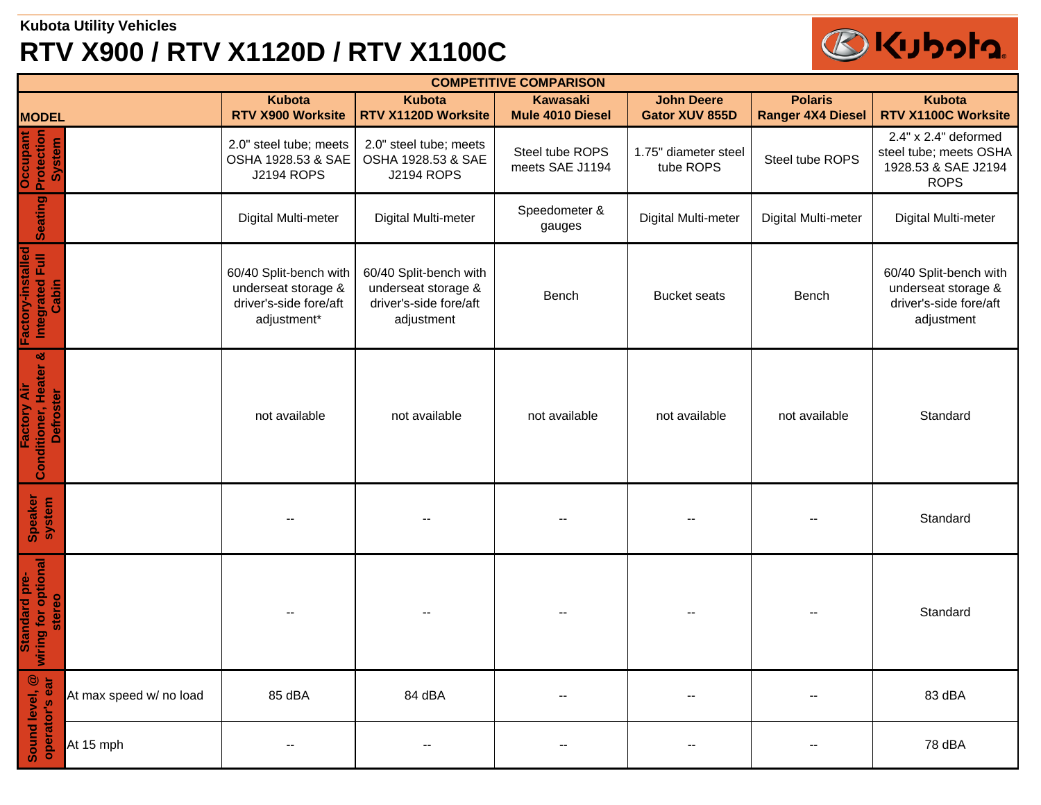## **Kubota Utility Vehicles RTV X900 / RTV X1120D / RTV X1100C**



| <b>COMPETITIVE COMPARISON</b>                                      |                         |                                                                                        |                                                                                       |                                     |                                            |                                            |                                                                                       |  |
|--------------------------------------------------------------------|-------------------------|----------------------------------------------------------------------------------------|---------------------------------------------------------------------------------------|-------------------------------------|--------------------------------------------|--------------------------------------------|---------------------------------------------------------------------------------------|--|
| <b>MODEL</b>                                                       |                         | <b>Kubota</b><br>RTV X900 Worksite                                                     | <b>Kubota</b><br>RTV X1120D Worksite                                                  | <b>Kawasaki</b><br>Mule 4010 Diesel | <b>John Deere</b><br><b>Gator XUV 855D</b> | <b>Polaris</b><br><b>Ranger 4X4 Diesel</b> | <b>Kubota</b><br>RTV X1100C Worksite                                                  |  |
| Protection<br>Occupant<br>System                                   |                         | 2.0" steel tube; meets<br>OSHA 1928.53 & SAE<br><b>J2194 ROPS</b>                      | 2.0" steel tube; meets<br>OSHA 1928.53 & SAE<br><b>J2194 ROPS</b>                     | Steel tube ROPS<br>meets SAE J1194  | 1.75" diameter steel<br>tube ROPS          | Steel tube ROPS                            | 2.4" x 2.4" deformed<br>steel tube; meets OSHA<br>1928.53 & SAE J2194<br><b>ROPS</b>  |  |
| Seating                                                            |                         | Digital Multi-meter                                                                    | Digital Multi-meter                                                                   | Speedometer &<br>gauges             | Digital Multi-meter                        | Digital Multi-meter                        | Digital Multi-meter                                                                   |  |
| Factory-installed<br>Integrated Full<br>Cabin                      |                         | 60/40 Split-bench with<br>underseat storage &<br>driver's-side fore/aft<br>adjustment* | 60/40 Split-bench with<br>underseat storage &<br>driver's-side fore/aft<br>adjustment | Bench                               | <b>Bucket seats</b>                        | Bench                                      | 60/40 Split-bench with<br>underseat storage &<br>driver's-side fore/aft<br>adjustment |  |
| ಜ<br>Conditioner, Heater<br><b>Factory Air</b><br><b>Defroster</b> |                         | not available                                                                          | not available                                                                         | not available                       | not available                              | not available                              | Standard                                                                              |  |
| Speaker<br>system                                                  |                         |                                                                                        |                                                                                       |                                     |                                            |                                            | Standard                                                                              |  |
| wiring for optional<br>Standard pre-<br>stereo                     |                         |                                                                                        |                                                                                       |                                     |                                            |                                            | Standard                                                                              |  |
| Sound level, @<br>operator's ear                                   | At max speed w/ no load | 85 dBA                                                                                 | 84 dBA                                                                                | $\overline{\phantom{a}}$            | $\qquad \qquad -$                          |                                            | 83 dBA                                                                                |  |
|                                                                    | At 15 mph               |                                                                                        | --                                                                                    | $\overline{\phantom{a}}$            |                                            |                                            | 78 dBA                                                                                |  |